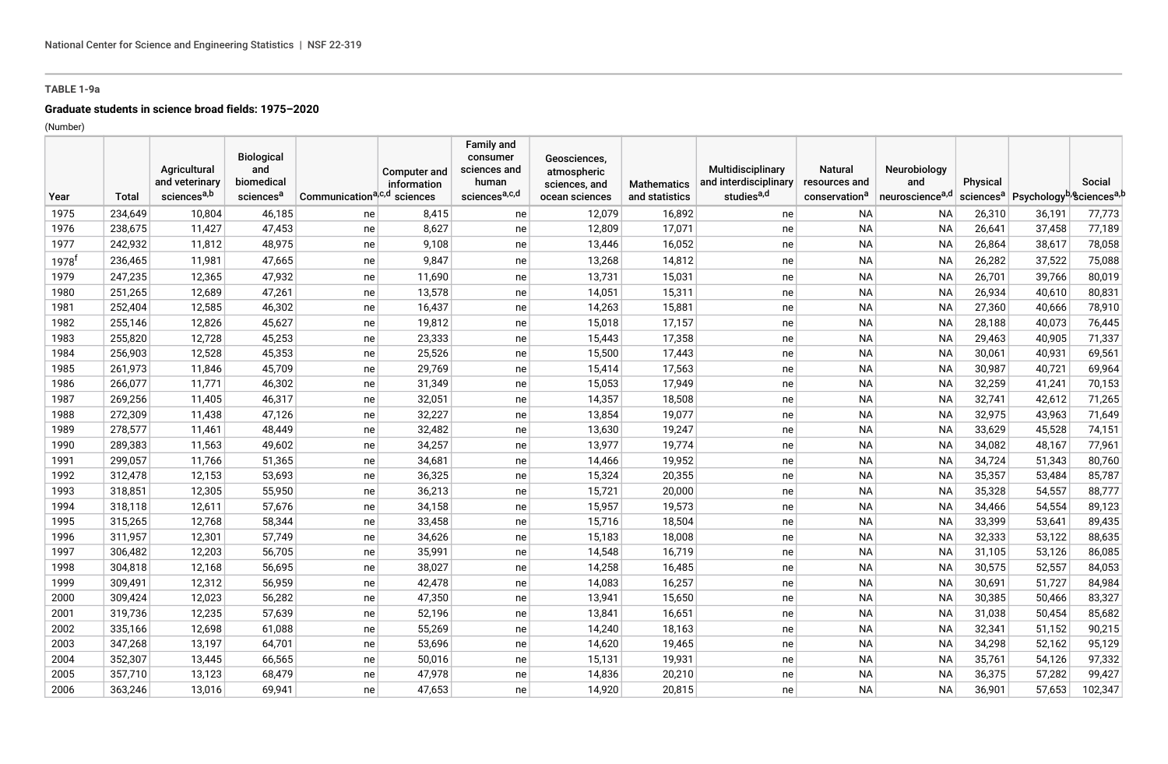# **TABLE 1-9a**

## **Graduate students in science broad fields: 1975–2020**

(Number)

|                     |         | Agricultural<br>and veterinary | <b>Biological</b><br>and<br>biomedical |                                        | Computer and | Family and<br>consumer<br>sciences and | Geosciences,<br>atmospheric     |                                      | Multidisciplinary<br>and interdisciplinary | <b>Natural</b>                             | Neurobiology<br>and         |          |                                                                          | Social  |
|---------------------|---------|--------------------------------|----------------------------------------|----------------------------------------|--------------|----------------------------------------|---------------------------------|--------------------------------------|--------------------------------------------|--------------------------------------------|-----------------------------|----------|--------------------------------------------------------------------------|---------|
| Year                | Total   | sciences <sup>a,b</sup>        | sciences <sup>a</sup>                  | Communicationa <sub>c,d</sub> sciences | information  | human<br>sciences <sup>a,c,d</sup>     | sciences, and<br>ocean sciences | <b>Mathematics</b><br>and statistics | studies <sup>a,d</sup>                     | resources and<br>conservation <sup>a</sup> | neuroscience <sup>a,d</sup> | Physical | sciences <sup>a</sup> Psychology <sup>b</sup> , Sciences <sup>a, b</sup> |         |
| 1975                | 234,649 | 10,804                         | 46,185                                 | ne                                     | 8,415        | ne                                     | 12,079                          | 16,892                               | ne                                         | <b>NA</b>                                  | <b>NA</b>                   | 26,310   | 36,191                                                                   | 77,773  |
| 1976                | 238,675 | 11,427                         | 47,453                                 | ne                                     | 8,627        | ne                                     | 12,809                          | 17,071                               | ne                                         | <b>NA</b>                                  | <b>NA</b>                   | 26,641   | 37,458                                                                   | 77,189  |
| 1977                | 242,932 | 11,812                         | 48,975                                 | ne                                     | 9,108        | ne                                     | 13,446                          | 16,052                               | ne                                         | <b>NA</b>                                  | <b>NA</b>                   | 26,864   | 38,617                                                                   | 78,058  |
| $1978$ <sup>f</sup> | 236,465 | 11,981                         | 47,665                                 | ne                                     | 9,847        | ne                                     | 13,268                          | 14,812                               | ne                                         | <b>NA</b>                                  | <b>NA</b>                   | 26,282   | 37,522                                                                   | 75,088  |
| 1979                | 247,235 | 12,365                         | 47,932                                 | ne                                     | 11,690       | ne                                     | 13,731                          | 15,031                               | ne                                         | <b>NA</b>                                  | <b>NA</b>                   | 26,701   | 39,766                                                                   | 80,019  |
| 1980                | 251,265 | 12,689                         | 47,261                                 | ne                                     | 13,578       | ne                                     | 14,051                          | 15,311                               | ne                                         | <b>NA</b>                                  | <b>NA</b>                   | 26,934   | 40,610                                                                   | 80,831  |
| 1981                | 252,404 | 12,585                         | 46,302                                 | ne                                     | 16,437       | ne                                     | 14,263                          | 15,881                               | ne                                         | <b>NA</b>                                  | <b>NA</b>                   | 27,360   | 40,666                                                                   | 78,910  |
| 1982                | 255,146 | 12,826                         | 45,627                                 | ne                                     | 19,812       | ne                                     | 15,018                          | 17,157                               | ne                                         | <b>NA</b>                                  | <b>NA</b>                   | 28,188   | 40,073                                                                   | 76,445  |
| 1983                | 255,820 | 12,728                         | 45,253                                 | ne                                     | 23,333       | ne                                     | 15,443                          | 17,358                               | ne                                         | <b>NA</b>                                  | <b>NA</b>                   | 29,463   | 40,905                                                                   | 71,337  |
| 1984                | 256,903 | 12,528                         | 45,353                                 | ne                                     | 25,526       | ne                                     | 15,500                          | 17,443                               | ne                                         | <b>NA</b>                                  | <b>NA</b>                   | 30,061   | 40,931                                                                   | 69,561  |
| 1985                | 261,973 | 11,846                         | 45,709                                 | ne                                     | 29,769       | ne                                     | 15,414                          | 17,563                               | ne                                         | <b>NA</b>                                  | <b>NA</b>                   | 30,987   | 40,721                                                                   | 69,964  |
| 1986                | 266,077 | 11,771                         | 46,302                                 | ne                                     | 31,349       | ne                                     | 15,053                          | 17,949                               | ne                                         | <b>NA</b>                                  | <b>NA</b>                   | 32,259   | 41,241                                                                   | 70,153  |
| 1987                | 269,256 | 11,405                         | 46,317                                 | ne                                     | 32,051       | ne                                     | 14,357                          | 18,508                               | ne                                         | <b>NA</b>                                  | <b>NA</b>                   | 32,741   | 42,612                                                                   | 71,265  |
| 1988                | 272,309 | 11,438                         | 47,126                                 | ne                                     | 32,227       | ne                                     | 13,854                          | 19,077                               | ne                                         | <b>NA</b>                                  | <b>NA</b>                   | 32,975   | 43,963                                                                   | 71,649  |
| 1989                | 278,577 | 11,461                         | 48,449                                 | ne                                     | 32,482       | ne                                     | 13,630                          | 19,247                               | ne                                         | <b>NA</b>                                  | <b>NA</b>                   | 33,629   | 45,528                                                                   | 74,151  |
| 1990                | 289,383 | 11,563                         | 49,602                                 | ne                                     | 34,257       | ne                                     | 13,977                          | 19,774                               | ne                                         | <b>NA</b>                                  | <b>NA</b>                   | 34,082   | 48,167                                                                   | 77,961  |
| 1991                | 299,057 | 11,766                         | 51,365                                 | ne                                     | 34,681       | ne                                     | 14,466                          | 19,952                               | ne                                         | <b>NA</b>                                  | <b>NA</b>                   | 34,724   | 51,343                                                                   | 80,760  |
| 1992                | 312,478 | 12,153                         | 53,693                                 | ne                                     | 36,325       | ne                                     | 15,324                          | 20,355                               | ne                                         | <b>NA</b>                                  | <b>NA</b>                   | 35,357   | 53,484                                                                   | 85,787  |
| 1993                | 318,851 | 12,305                         | 55,950                                 | ne                                     | 36,213       | ne                                     | 15,721                          | 20,000                               | ne                                         | <b>NA</b>                                  | <b>NA</b>                   | 35,328   | 54,557                                                                   | 88,777  |
| 1994                | 318,118 | 12,611                         | 57,676                                 | ne                                     | 34,158       | ne                                     | 15,957                          | 19,573                               | ne                                         | <b>NA</b>                                  | <b>NA</b>                   | 34,466   | 54,554                                                                   | 89,123  |
| 1995                | 315,265 | 12,768                         | 58,344                                 | ne                                     | 33,458       | ne                                     | 15,716                          | 18,504                               | ne                                         | <b>NA</b>                                  | <b>NA</b>                   | 33,399   | 53,641                                                                   | 89,435  |
| 1996                | 311,957 | 12,301                         | 57,749                                 | ne                                     | 34,626       | ne                                     | 15,183                          | 18,008                               | ne                                         | <b>NA</b>                                  | <b>NA</b>                   | 32,333   | 53,122                                                                   | 88,635  |
| 1997                | 306,482 | 12,203                         | 56,705                                 | ne                                     | 35,991       | ne                                     | 14,548                          | 16,719                               | ne                                         | <b>NA</b>                                  | <b>NA</b>                   | 31,105   | 53,126                                                                   | 86,085  |
| 1998                | 304,818 | 12,168                         | 56,695                                 | ne                                     | 38,027       | ne                                     | 14,258                          | 16,485                               | ne                                         | <b>NA</b>                                  | <b>NA</b>                   | 30,575   | 52,557                                                                   | 84,053  |
| 1999                | 309,491 | 12,312                         | 56,959                                 | ne                                     | 42,478       | ne                                     | 14,083                          | 16,257                               | ne                                         | <b>NA</b>                                  | <b>NA</b>                   | 30,691   | 51,727                                                                   | 84,984  |
| 2000                | 309,424 | 12,023                         | 56,282                                 | ne                                     | 47,350       | ne                                     | 13,941                          | 15,650                               | ne                                         | <b>NA</b>                                  | <b>NA</b>                   | 30,385   | 50,466                                                                   | 83,327  |
| 2001                | 319,736 | 12,235                         | 57,639                                 | ne                                     | 52,196       | ne                                     | 13,841                          | 16,651                               | ne                                         | <b>NA</b>                                  | <b>NA</b>                   | 31,038   | 50,454                                                                   | 85,682  |
| 2002                | 335,166 | 12,698                         | 61,088                                 | ne                                     | 55,269       | ne                                     | 14,240                          | 18,163                               | ne                                         | <b>NA</b>                                  | <b>NA</b>                   | 32,341   | 51,152                                                                   | 90,215  |
| 2003                | 347,268 | 13,197                         | 64,701                                 | ne                                     | 53,696       | ne                                     | 14,620                          | 19,465                               | ne                                         | <b>NA</b>                                  | <b>NA</b>                   | 34,298   | 52,162                                                                   | 95,129  |
| 2004                | 352,307 | 13,445                         | 66,565                                 | ne                                     | 50,016       | ne                                     | 15,131                          | 19,931                               | ne                                         | <b>NA</b>                                  | <b>NA</b>                   | 35,761   | 54,126                                                                   | 97,332  |
| 2005                | 357,710 | 13,123                         | 68,479                                 | ne                                     | 47,978       | ne                                     | 14,836                          | 20,210                               | ne                                         | <b>NA</b>                                  | <b>NA</b>                   | 36,375   | 57,282                                                                   | 99,427  |
| 2006                | 363,246 | 13,016                         | 69,941                                 | ne                                     | 47,653       | ne                                     | 14,920                          | 20,815                               | ne                                         | <b>NA</b>                                  | <b>NA</b>                   | 36,901   | 57,653                                                                   | 102,347 |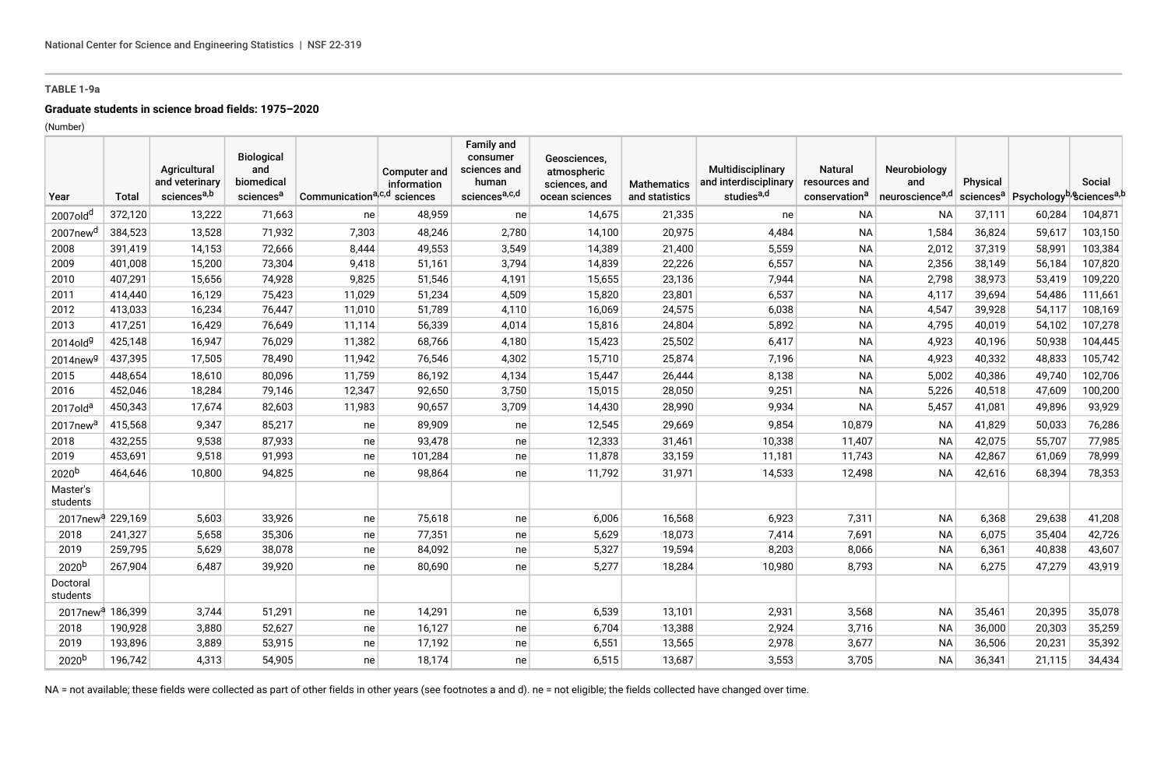#### **TABLE 1-9a**

## **Graduate students in science broad fields: 1975–2020**

(Number)

|                      |              |                                           | Biological                          |                                        |              | <b>Family and</b><br>consumer      | Geosciences,                    |                                      |                                                 |                                            |                        |          |                                                                          |         |
|----------------------|--------------|-------------------------------------------|-------------------------------------|----------------------------------------|--------------|------------------------------------|---------------------------------|--------------------------------------|-------------------------------------------------|--------------------------------------------|------------------------|----------|--------------------------------------------------------------------------|---------|
|                      |              | Agricultural                              | and                                 |                                        | Computer and | sciences and                       | atmospheric                     |                                      | Multidisciplinary                               | Natural                                    | Neurobiology           |          |                                                                          |         |
| Year                 | <b>Total</b> | and veterinary<br>sciences <sup>a,b</sup> | biomedical<br>sciences <sup>a</sup> | Communicationa <sub>c,d</sub> sciences | information  | human<br>sciences <sup>a,c,d</sup> | sciences, and<br>ocean sciences | <b>Mathematics</b><br>and statistics | and interdisciplinary<br>studies <sup>a,d</sup> | resources and<br>conservation <sup>a</sup> | and<br>neurosciencea,d | Physical | sciences <sup>a</sup> Psychology <sup>b</sup> , Sciences <sup>a, b</sup> | Social  |
| 2007old <sup>d</sup> | 372,120      | 13,222                                    | 71,663                              | ne                                     | 48,959       | ne                                 | 14,675                          | 21,335                               | ne                                              | <b>NA</b>                                  | <b>NA</b>              | 37,111   | 60,284                                                                   | 104,871 |
| 2007new <sup>d</sup> | 384,523      | 13,528                                    | 71,932                              | 7,303                                  | 48,246       | 2,780                              | 14,100                          | 20,975                               | 4,484                                           | <b>NA</b>                                  | 1,584                  | 36,824   | 59,617                                                                   | 103,150 |
| 2008                 | 391,419      | 14,153                                    | 72,666                              | 8,444                                  | 49,553       | 3,549                              | 14,389                          | 21,400                               | 5,559                                           | <b>NA</b>                                  | 2,012                  | 37,319   | 58,991                                                                   | 103,384 |
| 2009                 | 401,008      | 15,200                                    | 73,304                              | 9,418                                  | 51,161       | 3,794                              | 14,839                          | 22,226                               | 6,557                                           | <b>NA</b>                                  | 2,356                  | 38,149   | 56,184                                                                   | 107,820 |
| 2010                 | 407,291      | 15,656                                    | 74,928                              | 9,825                                  | 51,546       | 4,191                              | 15,655                          | 23,136                               | 7,944                                           | <b>NA</b>                                  | 2,798                  | 38,973   | 53,419                                                                   | 109,220 |
| 2011                 | 414,440      | 16,129                                    | 75,423                              | 11,029                                 | 51,234       | 4,509                              | 15,820                          | 23,801                               | 6,537                                           | <b>NA</b>                                  | 4,117                  | 39,694   | 54,486                                                                   | 111,661 |
| 2012                 | 413,033      | 16,234                                    | 76,447                              | 11,010                                 | 51,789       | 4,110                              | 16,069                          | 24,575                               | 6,038                                           | <b>NA</b>                                  | 4,547                  | 39,928   | 54,117                                                                   | 108,169 |
| 2013                 | 417,251      | 16,429                                    | 76,649                              | 11,114                                 | 56,339       | 4,014                              | 15,816                          | 24,804                               | 5,892                                           | <b>NA</b>                                  | 4,795                  | 40,019   | 54,102                                                                   | 107,278 |
| $2014$ old $9$       | 425,148      | 16,947                                    | 76,029                              | 11,382                                 | 68,766       | 4,180                              | 15,423                          | 25,502                               | 6,417                                           | <b>NA</b>                                  | 4,923                  | 40,196   | 50,938                                                                   | 104,445 |
| $2014$ new $9$       | 437,395      | 17,505                                    | 78,490                              | 11,942                                 | 76,546       | 4,302                              | 15,710                          | 25,874                               | 7,196                                           | <b>NA</b>                                  | 4,923                  | 40,332   | 48,833                                                                   | 105,742 |
| 2015                 | 448,654      | 18,610                                    | 80,096                              | 11,759                                 | 86,192       | 4,134                              | 15,447                          | 26,444                               | 8,138                                           | <b>NA</b>                                  | 5,002                  | 40,386   | 49,740                                                                   | 102,706 |
| 2016                 | 452,046      | 18,284                                    | 79,146                              | 12,347                                 | 92,650       | 3,750                              | 15,015                          | 28,050                               | 9,251                                           | <b>NA</b>                                  | 5,226                  | 40,518   | 47,609                                                                   | 100,200 |
| 2017old <sup>a</sup> | 450,343      | 17,674                                    | 82,603                              | 11,983                                 | 90,657       | 3,709                              | 14,430                          | 28,990                               | 9,934                                           | <b>NA</b>                                  | 5,457                  | 41,081   | 49,896                                                                   | 93,929  |
| 2017new <sup>a</sup> | 415,568      | 9,347                                     | 85,217                              | ne                                     | 89,909       | ne                                 | 12,545                          | 29,669                               | 9,854                                           | 10,879                                     | <b>NA</b>              | 41,829   | 50,033                                                                   | 76,286  |
| 2018                 | 432,255      | 9,538                                     | 87,933                              | ne                                     | 93,478       | ne                                 | 12,333                          | 31,461                               | 10,338                                          | 11,407                                     | <b>NA</b>              | 42,075   | 55,707                                                                   | 77,985  |
| 2019                 | 453,691      | 9,518                                     | 91,993                              | ne                                     | 101,284      | ne                                 | 11,878                          | 33,159                               | 11,181                                          | 11,743                                     | <b>NA</b>              | 42,867   | 61,069                                                                   | 78,999  |
| 2020 <sup>b</sup>    | 464,646      | 10,800                                    | 94,825                              | ne                                     | 98,864       | ne                                 | 11,792                          | 31,971                               | 14,533                                          | 12,498                                     | <b>NA</b>              | 42,616   | 68,394                                                                   | 78,353  |
| Master's<br>students |              |                                           |                                     |                                        |              |                                    |                                 |                                      |                                                 |                                            |                        |          |                                                                          |         |
| 2017new <sup>a</sup> | 229,169      | 5,603                                     | 33,926                              | ne                                     | 75,618       | ne                                 | 6,006                           | 16,568                               | 6,923                                           | 7,311                                      | <b>NA</b>              | 6,368    | 29,638                                                                   | 41,208  |
| 2018                 | 241,327      | 5,658                                     | 35,306                              | ne                                     | 77,351       | ne                                 | 5,629                           | 18,073                               | 7,414                                           | 7,691                                      | <b>NA</b>              | 6,075    | 35,404                                                                   | 42,726  |
| 2019                 | 259,795      | 5,629                                     | 38,078                              | ne                                     | 84,092       | ne                                 | 5,327                           | 19,594                               | 8,203                                           | 8,066                                      | <b>NA</b>              | 6,361    | 40,838                                                                   | 43,607  |
| 2020 <sup>b</sup>    | 267,904      | 6,487                                     | 39,920                              | ne                                     | 80,690       | ne                                 | 5,277                           | 18,284                               | 10,980                                          | 8,793                                      | <b>NA</b>              | 6,275    | 47,279                                                                   | 43,919  |
| Doctoral<br>students |              |                                           |                                     |                                        |              |                                    |                                 |                                      |                                                 |                                            |                        |          |                                                                          |         |
| 2017new <sup>a</sup> | 186,399      | 3,744                                     | 51,291                              | ne                                     | 14,291       | ne                                 | 6,539                           | 13,101                               | 2,931                                           | 3,568                                      | <b>NA</b>              | 35,461   | 20,395                                                                   | 35,078  |
| 2018                 | 190,928      | 3,880                                     | 52,627                              | ne                                     | 16,127       | ne                                 | 6,704                           | 13,388                               | 2,924                                           | 3,716                                      | <b>NA</b>              | 36,000   | 20,303                                                                   | 35,259  |
| 2019                 | 193,896      | 3,889                                     | 53,915                              | ne                                     | 17,192       | ne                                 | 6,551                           | 13,565                               | 2,978                                           | 3,677                                      | <b>NA</b>              | 36,506   | 20,231                                                                   | 35,392  |
| 2020 <sup>b</sup>    | 196,742      | 4.313                                     | 54,905                              | ne                                     | 18,174       | ne                                 | 6,515                           | 13,687                               | 3,553                                           | 3,705                                      | <b>NA</b>              | 36,341   | 21,115                                                                   | 34,434  |

NA = not available; these fields were collected as part of other fields in other years (see footnotes a and d). ne = not eligible; the fields collected have changed over time.